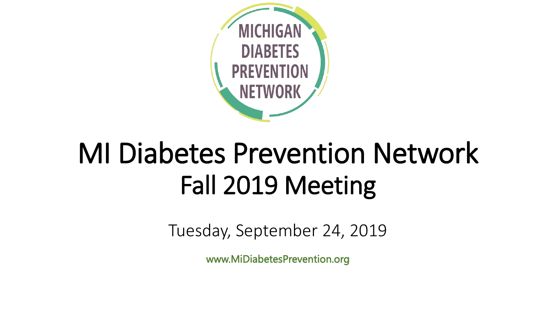

# MI Diabetes Prevention Network Fall 2019 Meeting

Tuesday, September 24, 2019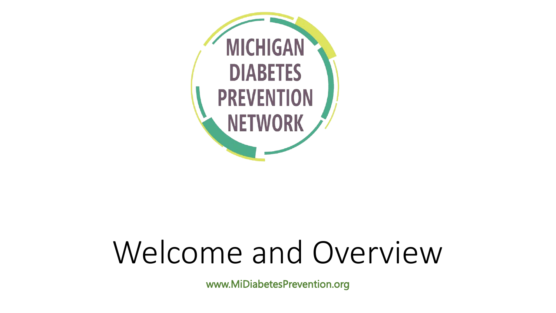

# Welcome and Overview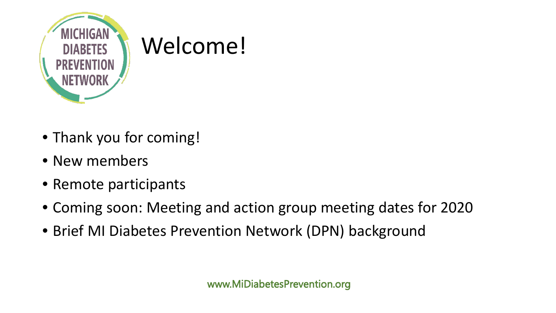

- Thank you for coming!
- New members
- Remote participants
- Coming soon: Meeting and action group meeting dates for 2020
- Brief MI Diabetes Prevention Network (DPN) background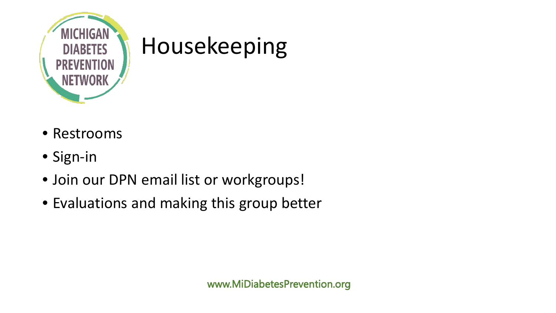

#### Housekeeping

- Restrooms
- Sign-in
- Join our DPN email list or workgroups!
- Evaluations and making this group better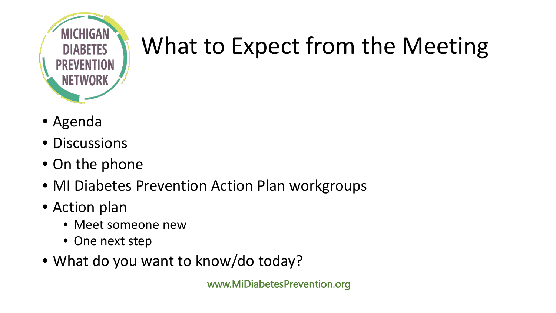

## What to Expect from the Meeting

- Agenda
- Discussions
- On the phone
- MI Diabetes Prevention Action Plan workgroups
- Action plan
	- Meet someone new
	- One next step
- What do you want to know/do today?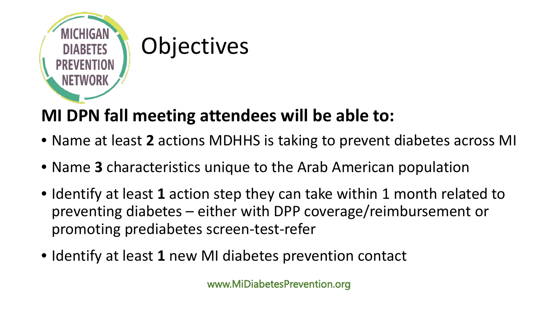

# **MI DPN fall meeting attendees will be able to:**

- Name at least **2** actions MDHHS is taking to prevent diabetes across MI
- Name **3** characteristics unique to the Arab American population
- Identify at least **1** action step they can take within 1 month related to preventing diabetes – either with DPP coverage/reimbursement or promoting prediabetes screen-test-refer
- Identify at least **1** new MI diabetes prevention contact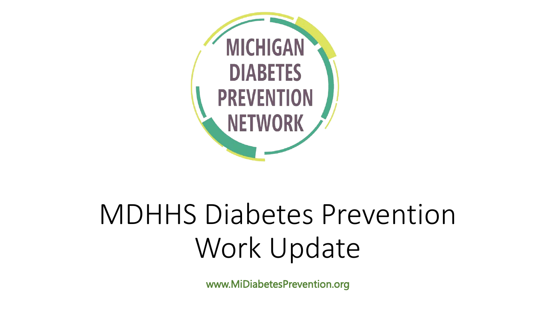

# MDHHS Diabetes Prevention Work Update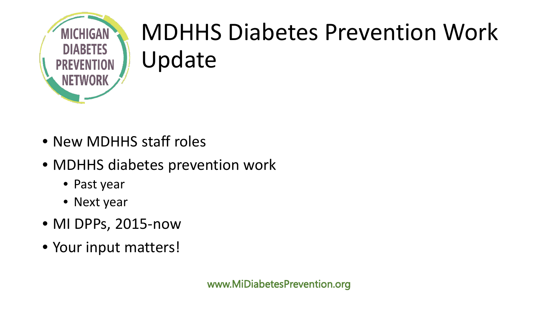

## MDHHS Diabetes Prevention Work Update

- New MDHHS staff roles
- MDHHS diabetes prevention work
	- Past year
	- Next year
- MI DPPs, 2015-now
- Your input matters!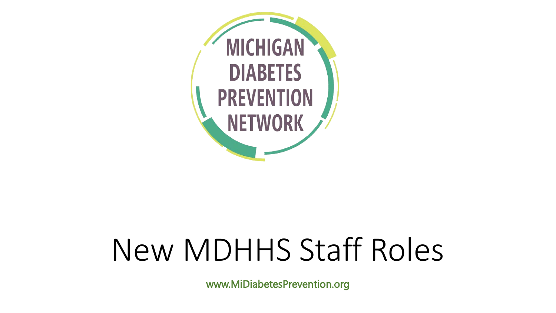

# New MDHHS Staff Roles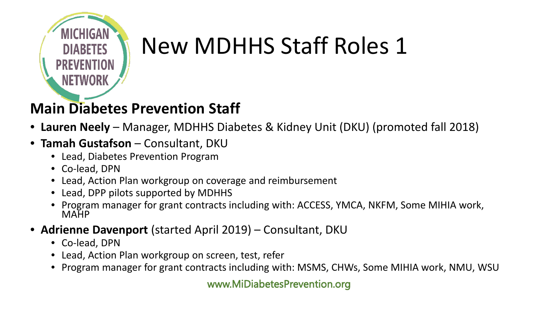

## New MDHHS Staff Roles 1

#### **Main Diabetes Prevention Staff**

- **Lauren Neely**  Manager, MDHHS Diabetes & Kidney Unit (DKU) (promoted fall 2018)
- **Tamah Gustafson**  Consultant, DKU
	- Lead, Diabetes Prevention Program
	- Co-lead, DPN
	- Lead, Action Plan workgroup on coverage and reimbursement
	- Lead, DPP pilots supported by MDHHS
	- Program manager for grant contracts including with: ACCESS, YMCA, NKFM, Some MIHIA work, MAHP
- **Adrienne Davenport** (started April 2019) Consultant, DKU
	- Co-lead, DPN
	- Lead, Action Plan workgroup on screen, test, refer
	- Program manager for grant contracts including with: MSMS, CHWs, Some MIHIA work, NMU, WSU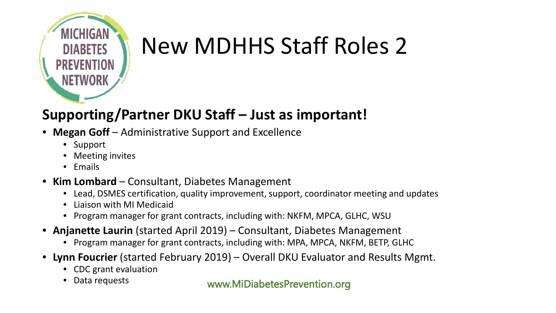

## New MDHHS Staff Roles 2

#### **Supporting/Partner DKU Staff – Just as important!**

- **Megan Goff** Administrative Support and Excellence
	- Support
	- Meeting invites
	- Emails
- **Kim Lombard**  Consultant, Diabetes Management
	- Lead, DSMES certification, quality improvement, support, coordinator meeting and updates
	- Liaison with MI Medicaid
	- Program manager for grant contracts, including with: NKFM, MPCA, GLHC, WSU
- **Anjanette Laurin** (started April 2019) Consultant, Diabetes Management
	- Program manager for grant contracts, including with: MPA, MPCA, NKFM, BETP, GLHC
- **Lynn Foucrier** (started February 2019) Overall DKU Evaluator and Results Mgmt.
	- CDC grant evaluation
	- Data requests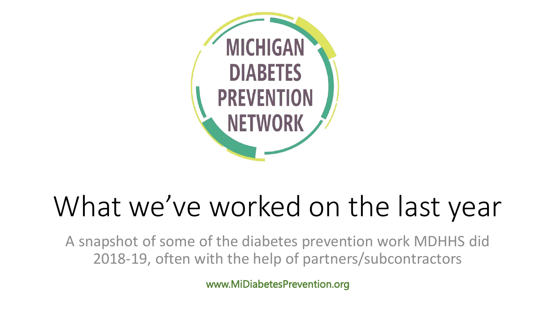

# What we've worked on the last year

A snapshot of some of the diabetes prevention work MDHHS did 2018-19, often with the help of partners/subcontractors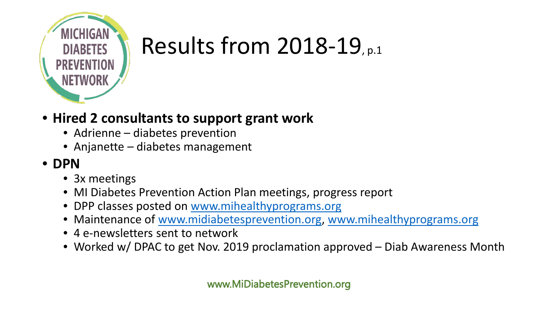

## Results from 2018-19, p.1

#### • **Hired 2 consultants to support grant work**

- Adrienne diabetes prevention
- Anjanette diabetes management

#### • **DPN**

- 3x meetings
- MI Diabetes Prevention Action Plan meetings, progress report
- DPP classes posted on [www.mihealthyprograms.org](http://www.mihealthyprograms.org/)
- Maintenance of [www.midiabetesprevention.org](http://www.midiabetesprevention.org/), [www.mihealthyprograms.org](http://www.mihealthyprograms.org/)
- 4 e-newsletters sent to network
- Worked w/ DPAC to get Nov. 2019 proclamation approved Diab Awareness Month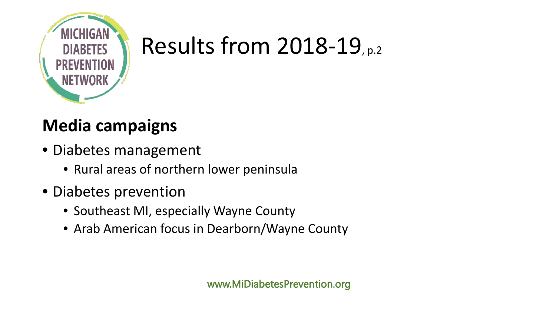

### Results from 2018-19, p.2

#### **Media campaigns**

- Diabetes management
	- Rural areas of northern lower peninsula
- Diabetes prevention
	- Southeast MI, especially Wayne County
	- Arab American focus in Dearborn/Wayne County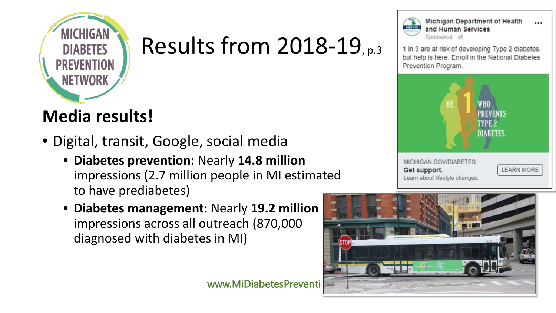

#### Results from 2018-19, p.3

#### **Media results!**

- Digital, transit, Google, social media
	- **Diabetes prevention:** Nearly **14.8 million**  impressions (2.7 million people in MI estimated to have prediabetes)
	- **Diabetes management**: Nearly **19.2 million** impressions across all outreach (870,000 diagnosed with diabetes in MI)





Michigan Department of Health  $\ddotsc$ and Human Services Sponsored - @

1 in 3 are at risk of developing Type 2 diabetes, but help is here. Enroll in the National Diabetes Prevention Program.



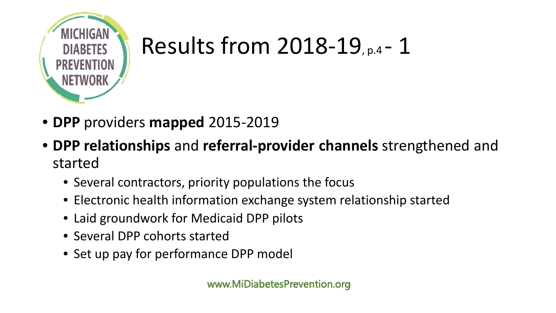

### Results from 2018-19, p.4 - 1

- **DPP** providers **mapped** 2015-2019
- **DPP relationships** and **referral-provider channels** strengthened and started
	- Several contractors, priority populations the focus
	- Electronic health information exchange system relationship started
	- Laid groundwork for Medicaid DPP pilots
	- Several DPP cohorts started
	- Set up pay for performance DPP model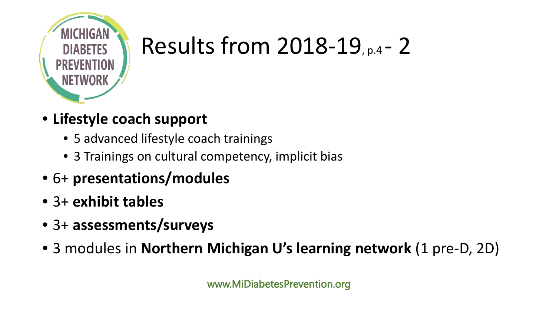

## Results from 2018-19, p.4 - 2

- **Lifestyle coach support**
	- 5 advanced lifestyle coach trainings
	- 3 Trainings on cultural competency, implicit bias
- 6+ **presentations/modules**
- 3+ **exhibit tables**
- 3+ **assessments/surveys**
- 3 modules in **Northern Michigan U's learning network** (1 pre-D, 2D)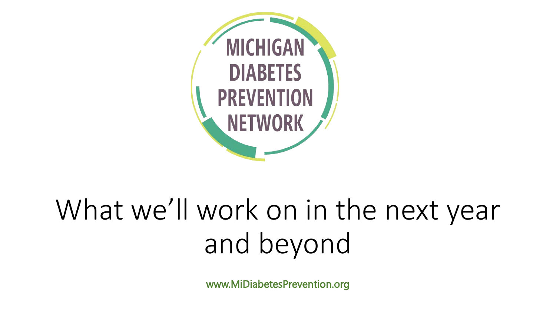

# What we'll work on in the next year and beyond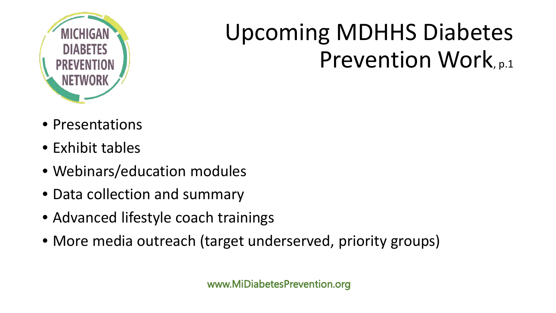

## Upcoming MDHHS Diabetes Prevention Work, p.1

- Presentations
- Exhibit tables
- Webinars/education modules
- Data collection and summary
- Advanced lifestyle coach trainings
- More media outreach (target underserved, priority groups)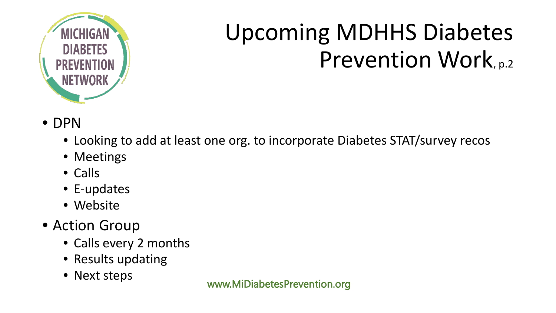

## Upcoming MDHHS Diabetes Prevention Work, p.2

- DPN
	- Looking to add at least one org. to incorporate Diabetes STAT/survey recos
	- Meetings
	- Calls
	- E-updates
	- Website
- Action Group
	- Calls every 2 months
	- Results updating
	- Next steps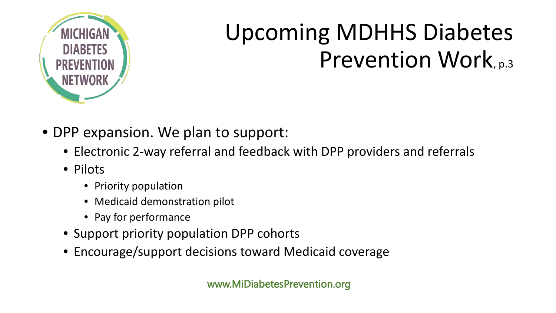

## Upcoming MDHHS Diabetes Prevention Work, p.3

- DPP expansion. We plan to support:
	- Electronic 2-way referral and feedback with DPP providers and referrals
	- Pilots
		- Priority population
		- Medicaid demonstration pilot
		- Pay for performance
	- Support priority population DPP cohorts
	- Encourage/support decisions toward Medicaid coverage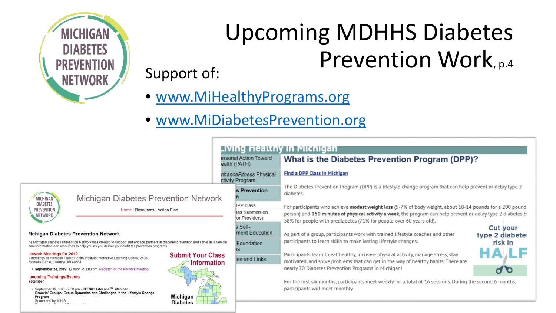

# Upcoming MDHHS Diabetes Support of: Prevention Work, p.4

- [www.MiHealthyPrograms.org](http://www.mihealthyprograms.org/)
- [www.MiDiabetesPrevention.org](http://www.midiabetesprevention.org/)

| <b>MICHIGAN</b>   |
|-------------------|
| <b>DIABETES</b>   |
| <b>PREVENTION</b> |
| NETWORK           |
|                   |

|                                                                                                                                                                      |                                                | Living Healthy in Michigan            |                                                                                                                                                                                                                           |                                    |  |
|----------------------------------------------------------------------------------------------------------------------------------------------------------------------|------------------------------------------------|---------------------------------------|---------------------------------------------------------------------------------------------------------------------------------------------------------------------------------------------------------------------------|------------------------------------|--|
|                                                                                                                                                                      |                                                | ersonal Action Toward<br>ealth (PATH) | What is the Diabetes Prevention Program (DPP)?                                                                                                                                                                            |                                    |  |
|                                                                                                                                                                      | nhanceFitness Physical<br>ctivity Program      |                                       | <b>Find a DPP Class in Michigan</b>                                                                                                                                                                                       |                                    |  |
| <b>is Prevention</b><br><b>Michigan Diabetes Prevention Network</b>                                                                                                  |                                                |                                       | The Diabetes Prevention Program (DPP) is a lifestyle change program that can help prevent or delay type 2<br>diabetes.                                                                                                    |                                    |  |
| DPP class<br>Home   Resources   Action Plan                                                                                                                          |                                                | ass Submission                        | For participants who achieve modest weight loss (5-7% of body weight, about 10-14 pounds for a 200 pound<br>person) and 150 minutes of physical activity a week, the program can help prevent or delay type 2 diabetes by |                                    |  |
| for Providers)<br>s Self-<br>ment Education<br><b>revention Network</b>                                                                                              |                                                |                                       | 58% for people with prediabetes (71% for people over 60 years old).<br>As part of a group, participants work with trained lifestyle coaches and other                                                                     | <b>Cut your</b><br>type 2 diabete: |  |
| on Network was created to support and engage partners in diabetes prevention and serve as a vehicle<br>to help you as you deliver your diabetes prevention programs. |                                                | Foundation                            | participants to learn skills to make lasting lifestyle changes.<br>risk in                                                                                                                                                |                                    |  |
| Health Institute Interactive Learning Center, 2436<br>864                                                                                                            | <b>Submit Your Class</b><br><b>Information</b> | tes and Links                         | Participants learn to eat healthy, increase physical activity, manage stress, stay<br>motivated, and solve problems that can get in the way of healthy habits. There are                                                  | A LF                               |  |
| oon to 3:00 pm. Register for the Network Meeting<br>ıts                                                                                                              |                                                |                                       | nearly 70 Diabetes Prevention Programs in Michigan!                                                                                                                                                                       |                                    |  |
| pm – DTTAC Advance™ Webinar<br>Dynamics and Challenges in the Lifestyle Change<br>$M_1 - L_2 - L_3$                                                                  |                                                |                                       | For the first six months, participants meet weekly for a total of 16 sessions. During the second 6 months,<br>participants will meet monthly.                                                                             |                                    |  |

**Michigan Diabetes Prevention Network** 

he Michigan Diabetes Prevention Network was created to support and engage par hare information and resources to help you as you deliver your diabetes preventio

#### etwork Meetings for 2019

Il meetings at Michigan Public Health Institute Interactive Learning Center, 2436 loodlake Circle, Okemos, MI 48864.

• September 24, 2019, 12 noon to 3:00 pm. Register for the Network Meeting

#### pcoming Trainings/Events eptember

· September 19, 1:00 - 2:30 pm - DTTAC Advance<sup>TM</sup> Webinar Groovin' Groups: Group Dynamics and Challenges in the Lifestyle Chan Program Sponsored by MiHIA

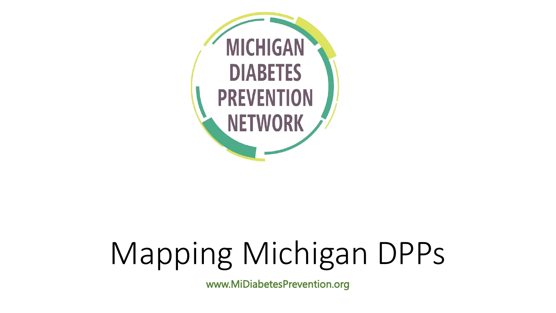

# Mapping Michigan DPPs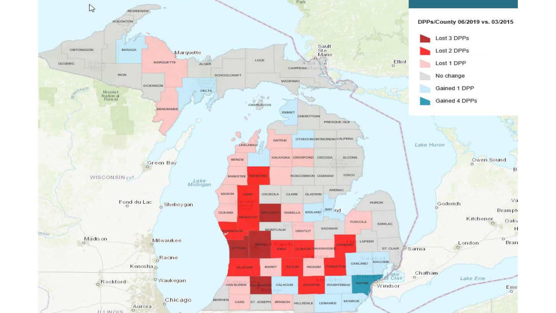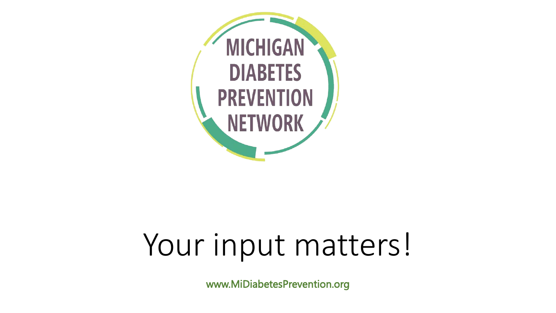

# Your input matters!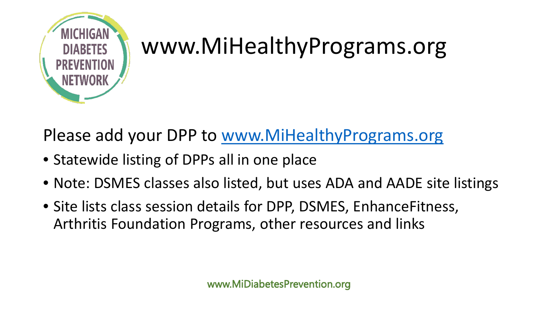

#### www.MiHealthyPrograms.org

Please add your DPP to [www.MiHealthyPrograms.org](http://www.mihealthyprograms.org/)

- Statewide listing of DPPs all in one place
- Note: DSMES classes also listed, but uses ADA and AADE site listings
- Site lists class session details for DPP, DSMES, EnhanceFitness, Arthritis Foundation Programs, other resources and links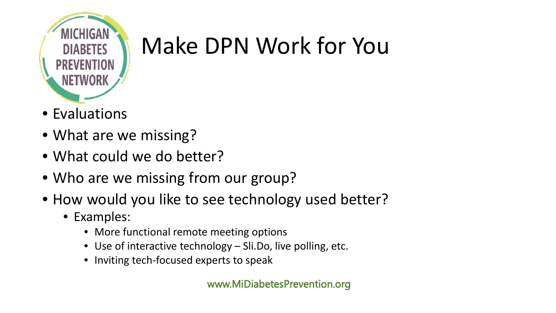

## Make DPN Work for You

- Evaluations
- What are we missing?
- What could we do better?
- Who are we missing from our group?
- How would you like to see technology used better?
	- Examples:
		- More functional remote meeting options
		- Use of interactive technology Sli.Do, live polling, etc.
		- Inviting tech-focused experts to speak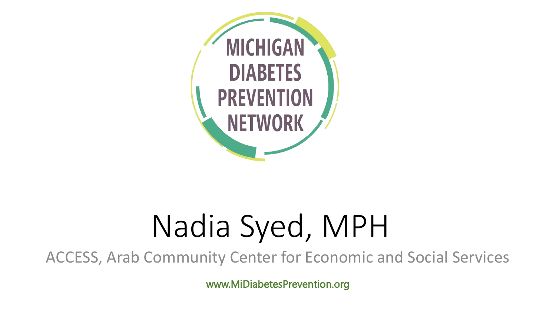

# Nadia Syed, MPH

ACCESS, Arab Community Center for Economic and Social Services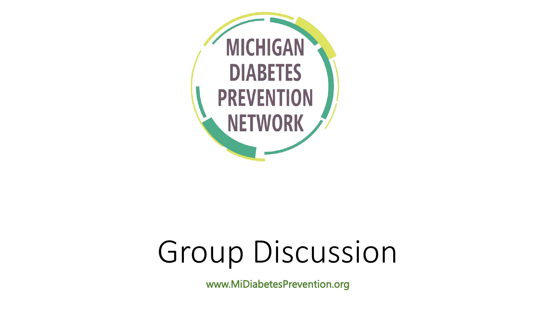

# Group Discussion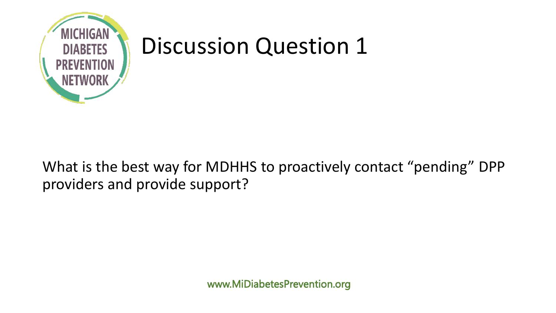

What is the best way for MDHHS to proactively contact "pending" DPP providers and provide support?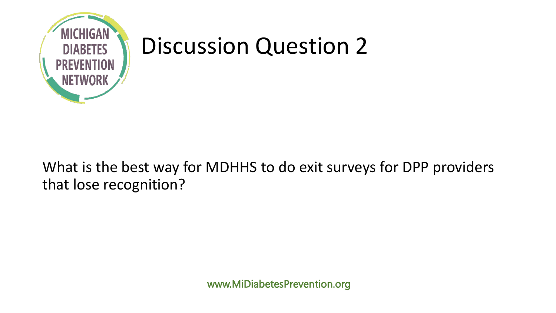

What is the best way for MDHHS to do exit surveys for DPP providers that lose recognition?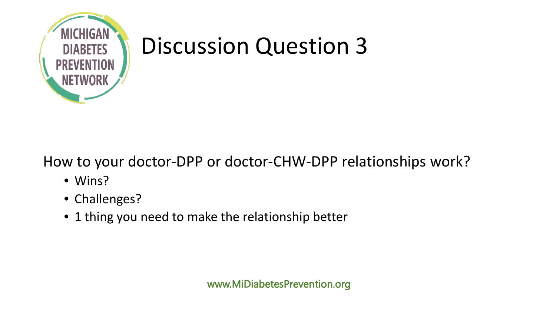

#### How to your doctor-DPP or doctor-CHW-DPP relationships work?

- Wins?
- Challenges?
- 1 thing you need to make the relationship better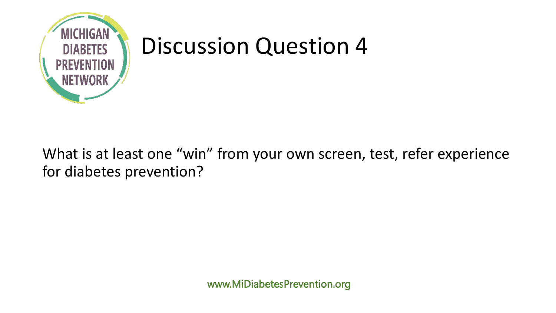

#### What is at least one "win" from your own screen, test, refer experience for diabetes prevention?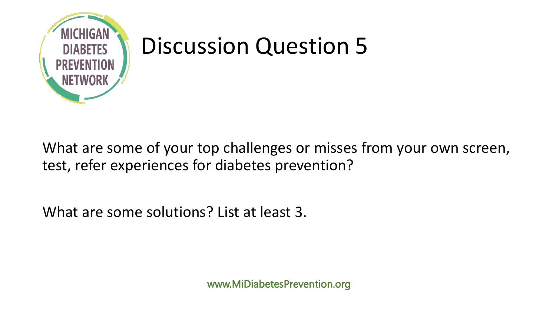

What are some of your top challenges or misses from your own screen, test, refer experiences for diabetes prevention?

What are some solutions? List at least 3.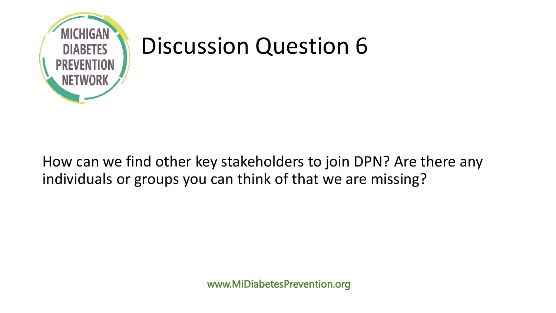

How can we find other key stakeholders to join DPN? Are there any individuals or groups you can think of that we are missing?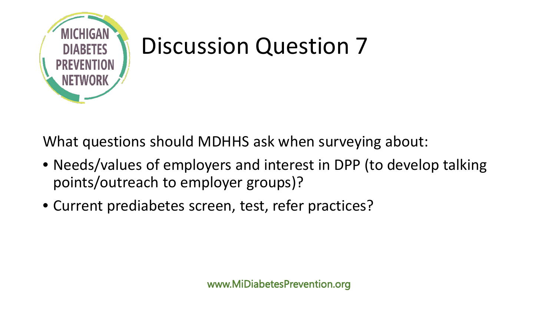

What questions should MDHHS ask when surveying about:

- Needs/values of employers and interest in DPP (to develop talking points/outreach to employer groups)?
- Current prediabetes screen, test, refer practices?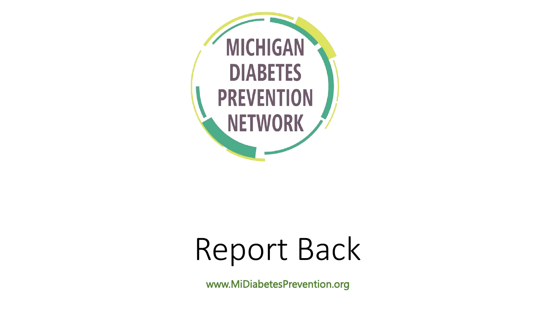

# Report Back